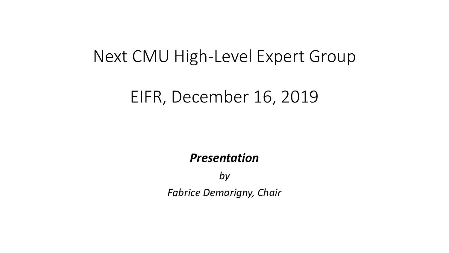# EIFR, December 16, 2019

## *Presentation*

*by Fabrice Demarigny, Chair*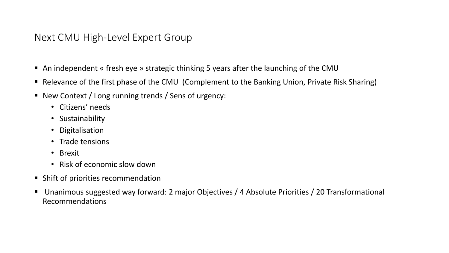- An independent « fresh eye » strategic thinking 5 years after the launching of the CMU
- Relevance of the first phase of the CMU (Complement to the Banking Union, Private Risk Sharing)
- New Context / Long running trends / Sens of urgency:
	- Citizens' needs
	- Sustainability
	- Digitalisation
	- Trade tensions
	- Brexit
	- Risk of economic slow down
- Shift of priorities recommendation
- Unanimous suggested way forward: 2 major Objectives / 4 Absolute Priorities / 20 Transformational Recommendations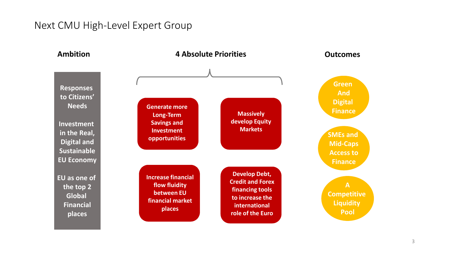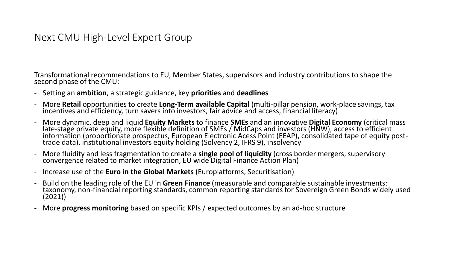Transformational recommendations to EU, Member States, supervisors and industry contributions to shape the second phase of the CMU:

- Setting an **ambition**, a strategic guidance, key **priorities** and **deadlines**
- More **Retail** opportunities to create **Long-Term available Capital** (multi-pillar pension, work-place savings, tax incentives and efficiency, turn savers into investors, fair advice and access, financial literacy)
- More dynamic, deep and liquid **Equity Markets** to finance **SMEs** and an innovative **Digital Economy** (critical mass late-stage private equity, more flexible definition of SMEs / MidCaps and investors (HNW), access to efficient information (proportionate prospectus, European Electronic Acess Point (EEAP), consolidated tape of equity posttrade data), institutional investors equity holding (Solvency 2, IFRS 9), insolvency
- More fluidity and less fragmentation to create a **single pool of liquidity** (cross border mergers, supervisory convergence related to market integration, EU wide Digital Finance Action Plan)
- Increase use of the **Euro in the Global Markets** (Europlatforms, Securitisation)
- Build on the leading role of the EU in **Green Finance** (measurable and comparable sustainable investments: taxonomy, non-financial reporting standards, common reporting standards for Sovereign Green Bonds widely used (2021))
- More **progress monitoring** based on specific KPIs / expected outcomes by an ad-hoc structure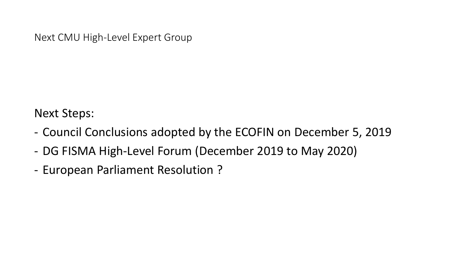Next Steps:

- Council Conclusions adopted by the ECOFIN on December 5, 2019
- DG FISMA High-Level Forum (December 2019 to May 2020)
- European Parliament Resolution ?